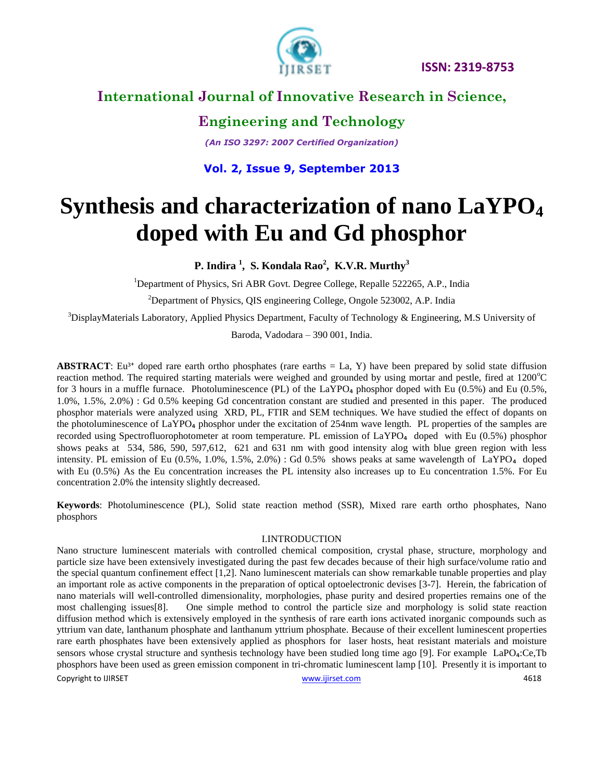

# **International Journal of Innovative Research in Science,**

### **Engineering and Technology**

*(An ISO 3297: 2007 Certified Organization)*

#### **Vol. 2, Issue 9, September 2013**

# **Synthesis and characterization of nano LaYPO<sup>4</sup> doped with Eu and Gd phosphor**

**P. Indira <sup>1</sup> , S. Kondala Rao<sup>2</sup> , K.V.R. Murthy<sup>3</sup>**

<sup>1</sup>Department of Physics, Sri ABR Govt. Degree College, Repalle 522265, A.P., India

 $2$ Department of Physics, QIS engineering College, Ongole 523002, A.P. India

 $3$ DisplayMaterials Laboratory, Applied Physics Department, Faculty of Technology & Engineering, M.S University of

Baroda, Vadodara – 390 001, India.

**ABSTRACT**: Eu<sup>3+</sup> doped rare earth ortho phosphates (rare earths  $=$  La, Y) have been prepared by solid state diffusion reaction method. The required starting materials were weighed and grounded by using mortar and pestle, fired at  $1200^{\circ}$ C for 3 hours in a muffle furnace. Photoluminescence (PL) of the  $LaYPO<sub>4</sub>$  phosphor doped with Eu (0.5%) and Eu (0.5%, 1.0%, 1.5%, 2.0%) : Gd 0.5% keeping Gd concentration constant are studied and presented in this paper. The produced phosphor materials were analyzed using XRD, PL, FTIR and SEM techniques. We have studied the effect of dopants on the photoluminescence of  $LaYPO<sub>4</sub>$  phosphor under the excitation of 254nm wave length. PL properties of the samples are recorded using Spectrofluorophotometer at room temperature. PL emission of LaYPO<sub>4</sub> doped with Eu (0.5%) phosphor shows peaks at 534, 586, 590, 597,612, 621 and 631 nm with good intensity alog with blue green region with less intensity. PL emission of Eu (0.5%, 1.0%, 1.5%, 2.0%) : Gd 0.5% shows peaks at same wavelength of LaYPO<sub>4</sub> doped with Eu (0.5%) As the Eu concentration increases the PL intensity also increases up to Eu concentration 1.5%. For Eu concentration 2.0% the intensity slightly decreased.

**Keywords**: Photoluminescence (PL), Solid state reaction method (SSR), Mixed rare earth ortho phosphates, Nano phosphors

#### I.INTRODUCTION

Copyright to IJIRSET **1996** Copyright to IJIRSET **1996** Copyright to IJIRSET **1997** Copyright to IJIRSET **1997** Copyright to IJIRSET **1997** Copyright to IJIRSET **1997** Copyright to IJIRSET **1997** Copyright is a set of the Nano structure luminescent materials with controlled chemical composition, crystal phase, structure, morphology and particle size have been extensively investigated during the past few decades because of their high surface/volume ratio and the special quantum confinement effect [1,2]. Nano luminescent materials can show remarkable tunable properties and play an important role as active components in the preparation of optical optoelectronic devises [3-7]. Herein, the fabrication of nano materials will well-controlled dimensionality, morphologies, phase purity and desired properties remains one of the most challenging issues[8]. One simple method to control the particle size and morphology is solid state reaction diffusion method which is extensively employed in the synthesis of rare earth ions activated inorganic compounds such as yttrium van date, lanthanum phosphate and lanthanum yttrium phosphate. Because of their excellent luminescent properties rare earth phosphates have been extensively applied as phosphors for laser hosts, heat resistant materials and moisture sensors whose crystal structure and synthesis technology have been studied long time ago [9]. For example LaPO<sub>4</sub>:Ce,Tb phosphors have been used as green emission component in tri-chromatic luminescent lamp [10]. Presently it is important to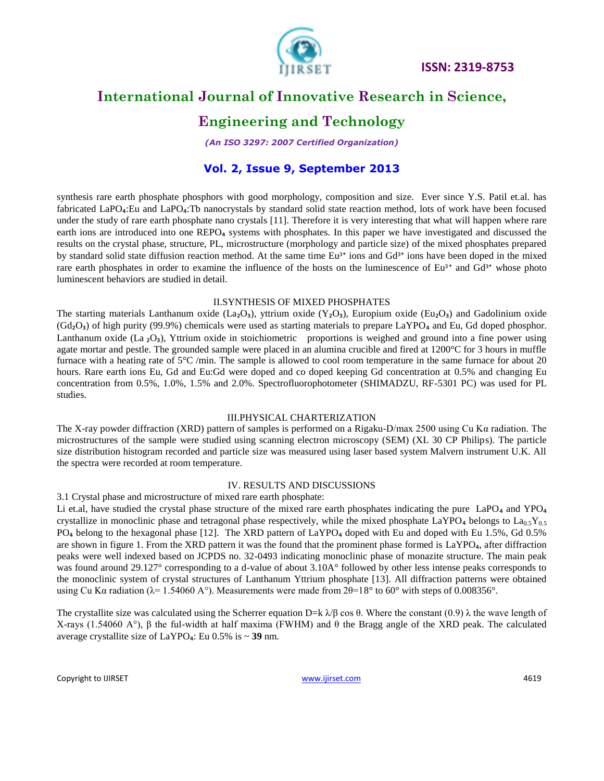

# **International Journal of Innovative Research in Science,**

### **Engineering and Technology**

*(An ISO 3297: 2007 Certified Organization)*

#### **Vol. 2, Issue 9, September 2013**

synthesis rare earth phosphate phosphors with good morphology, composition and size. Ever since Y.S. Patil et.al. has fabricated LaPO<sub>4</sub>:Eu and LaPO<sub>4</sub>:Tb nanocrystals by standard solid state reaction method, lots of work have been focused under the study of rare earth phosphate nano crystals [11]. Therefore it is very interesting that what will happen where rare earth ions are introduced into one REPO<sub>4</sub> systems with phosphates. In this paper we have investigated and discussed the results on the crystal phase, structure, PL, microstructure (morphology and particle size) of the mixed phosphates prepared by standard solid state diffusion reaction method. At the same time Eu<sup>3+</sup> ions and Gd<sup>3+</sup> ions have been doped in the mixed rare earth phosphates in order to examine the influence of the hosts on the luminescence of  $Eu<sup>3+</sup>$  and  $Gd<sup>3+</sup>$  whose photo luminescent behaviors are studied in detail.

#### II.SYNTHESIS OF MIXED PHOSPHATES

The starting materials Lanthanum oxide (La<sub>2</sub>O<sub>3</sub>), yttrium oxide (Y<sub>2</sub>O<sub>3</sub>), Europium oxide (Eu<sub>2</sub>O<sub>3</sub>) and Gadolinium oxide  $(Gd_2O_3)$  of high purity (99.9%) chemicals were used as starting materials to prepare LaYPO<sub>4</sub> and Eu, Gd doped phosphor. Lanthanum oxide (La  $_2O_3$ ), Yttrium oxide in stoichiometric proportions is weighed and ground into a fine power using agate mortar and pestle. The grounded sample were placed in an alumina crucible and fired at 1200°C for 3 hours in muffle furnace with a heating rate of  $5^{\circ}$ C /min. The sample is allowed to cool room temperature in the same furnace for about 20 hours. Rare earth ions Eu, Gd and Eu:Gd were doped and co doped keeping Gd concentration at 0.5% and changing Eu concentration from 0.5%, 1.0%, 1.5% and 2.0%. Spectrofluorophotometer (SHIMADZU, RF-5301 PC) was used for PL studies.

#### III.PHYSICAL CHARTERIZATION

The X-ray powder diffraction (XRD) pattern of samples is performed on a Rigaku-D/max 2500 using Cu Kα radiation. The microstructures of the sample were studied using scanning electron microscopy (SEM) (XL 30 CP Philips). The particle size distribution histogram recorded and particle size was measured using laser based system Malvern instrument U.K. All the spectra were recorded at room temperature.

#### IV. RESULTS AND DISCUSSIONS

3.1 Crystal phase and microstructure of mixed rare earth phosphate:

Li et.al, have studied the crystal phase structure of the mixed rare earth phosphates indicating the pure  $LaPO<sub>4</sub>$  and YPO<sub>4</sub> crystallize in monoclinic phase and tetragonal phase respectively, while the mixed phosphate LaYPO<sub>4</sub> belongs to La<sub>0.5</sub>Y<sub>0.5</sub> PO<sub>4</sub> belong to the hexagonal phase [12]. The XRD pattern of LaYPO<sub>4</sub> doped with Eu and doped with Eu 1.5%, Gd 0.5% are shown in figure 1. From the XRD pattern it was the found that the prominent phase formed is LaYPO<sub>4</sub>, after diffraction peaks were well indexed based on JCPDS no. 32-0493 indicating monoclinic phase of monazite structure. The main peak was found around 29.127° corresponding to a d-value of about 3.10A° followed by other less intense peaks corresponds to the monoclinic system of crystal structures of Lanthanum Yttrium phosphate [13]. All diffraction patterns were obtained using Cu Kα radiation ( $λ= 1.54060$  A°). Measurements were made from  $2θ=18°$  to  $60°$  with steps of 0.008356°.

The crystallite size was calculated using the Scherrer equation D=k  $\lambda/\beta$  cos  $\theta$ . Where the constant (0.9)  $\lambda$  the wave length of X-rays (1.54060 A°), β the ful-width at half maxima (FWHM) and  $\theta$  the Bragg angle of the XRD peak. The calculated average crystallite size of  $LaYPO<sub>4</sub>: Eu 0.5% is ~ 39 nm.$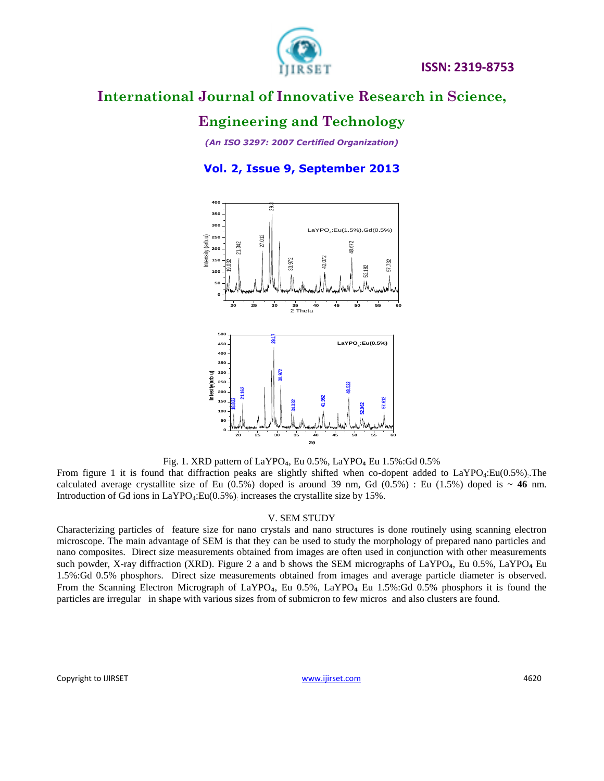

### **Engineering and Technology**

*(An ISO 3297: 2007 Certified Organization)*

**Vol. 2, Issue 9, September 2013**



Fig. 1. XRD pattern of LaYPO<sub>4</sub>, Eu 0.5%, LaYPO<sub>4</sub> Eu 1.5%:Gd 0.5%

From figure 1 it is found that diffraction peaks are slightly shifted when co-dopent added to LaYPO<sub>4</sub>:Eu(0.5%). The calculated average crystallite size of Eu  $(0.5%)$  doped is around 39 nm, Gd  $(0.5%)$  : Eu  $(1.5%)$  doped is  $\sim 46$  nm. Introduction of Gd ions in  $LaYPO_4:Eu(0.5\%)$  increases the crystallite size by 15%.

#### V. SEM STUDY

Characterizing particles of feature size for nano crystals and nano structures is done routinely using scanning electron microscope. The main advantage of SEM is that they can be used to study the morphology of prepared nano particles and nano composites. Direct size measurements obtained from images are often used in conjunction with other measurements such powder, X-ray diffraction (XRD). Figure 2 a and b shows the SEM micrographs of LaYPO<sub>4</sub>, Eu 0.5%, LaYPO<sub>4</sub> Eu 1.5%:Gd 0.5% phosphors. Direct size measurements obtained from images and average particle diameter is observed. From the Scanning Electron Micrograph of LaYPO<sub>4</sub>, Eu 0.5%, LaYPO<sub>4</sub> Eu 1.5%:Gd 0.5% phosphors it is found the particles are irregular in shape with various sizes from of submicron to few micros and also clusters are found.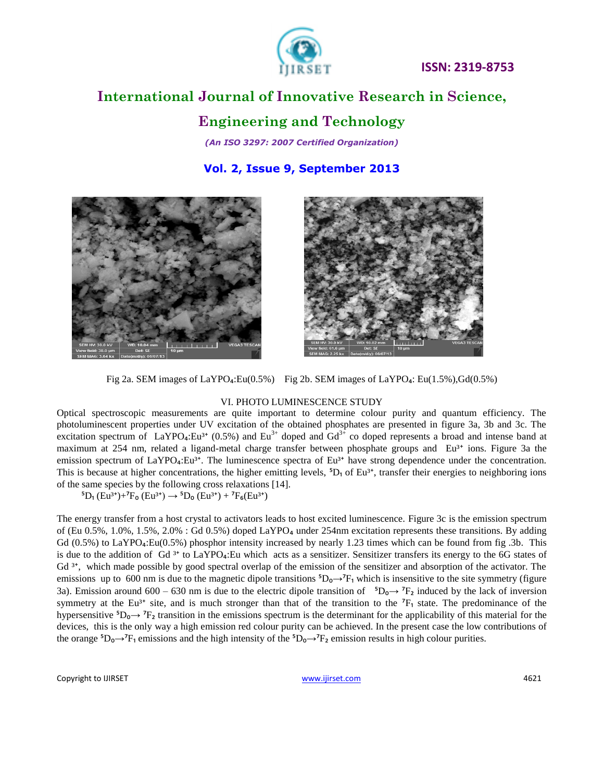

# **International Journal of Innovative Research in Science,**

### **Engineering and Technology**

*(An ISO 3297: 2007 Certified Organization)*

**Vol. 2, Issue 9, September 2013**





Fig 2a. SEM images of LaYPO<sub>4</sub>:Eu(0.5%) Fig 2b. SEM images of LaYPO<sub>4</sub>: Eu(1.5%),Gd(0.5%)

#### VI. PHOTO LUMINESCENCE STUDY

Optical spectroscopic measurements are quite important to determine colour purity and quantum efficiency. The photoluminescent properties under UV excitation of the obtained phosphates are presented in figure 3a, 3b and 3c. The excitation spectrum of LaYPO<sub>4</sub>:Eu<sup>3+</sup> (0.5%) and Eu<sup>3+</sup> doped and  $Gd^{3+}$  co doped represents a broad and intense band at maximum at 254 nm, related a ligand-metal charge transfer between phosphate groups and Eu<sup>3+</sup> ions. Figure 3a the emission spectrum of LaYPO<sub>4</sub>:Eu<sup>3+</sup>. The luminescence spectra of Eu<sup>3+</sup> have strong dependence under the concentration. This is because at higher concentrations, the higher emitting levels,  ${}^5D_1$  of Eu<sup>3+</sup>, transfer their energies to neighboring ions of the same species by the following cross relaxations [14].

 ${}^{5}D_{1}$  (Eu<sup>3+</sup>)+<sup>7</sup>F<sub>o</sub> (Eu<sup>3+</sup>)  $\rightarrow$   ${}^{5}D_{0}$  (Eu<sup>3+</sup>) + <sup>7</sup>F<sub>6</sub>(Eu<sup>3+</sup>)

The energy transfer from a host crystal to activators leads to host excited luminescence. Figure 3c is the emission spectrum of (Eu 0.5%, 1.0%, 1.5%, 2.0% : Gd 0.5%) doped LaYPO<sub>4</sub> under 254nm excitation represents these transitions. By adding Gd  $(0.5\%)$  to LaYPO<sub>4</sub>:Eu( $0.5\%)$  phosphor intensity increased by nearly 1.23 times which can be found from fig .3b. This is due to the addition of Gd<sup>3+</sup> to LaYPO<sub>4</sub>:Eu which acts as a sensitizer. Sensitizer transfers its energy to the 6G states of Gd<sup>3+</sup>, which made possible by good spectral overlap of the emission of the sensitizer and absorption of the activator. The emissions up to 600 nm is due to the magnetic dipole transitions  ${}^5D_0 \rightarrow {}^7F_1$  which is insensitive to the site symmetry (figure 3a). Emission around 600 – 630 nm is due to the electric dipole transition of  ${}^5D_0 \rightarrow {}^7F_2$  induced by the lack of inversion symmetry at the Eu<sup>3+</sup> site, and is much stronger than that of the transition to the  $^7F_1$  state. The predominance of the hypersensitive  ${}^5D_0 \rightarrow {}^7F_2$  transition in the emissions spectrum is the determinant for the applicability of this material for the devices, this is the only way a high emission red colour purity can be achieved. In the present case the low contributions of the orange  ${}^5D_0 \rightarrow {}^7F_1$  emissions and the high intensity of the  ${}^5D_0 \rightarrow {}^7F_2$  emission results in high colour purities.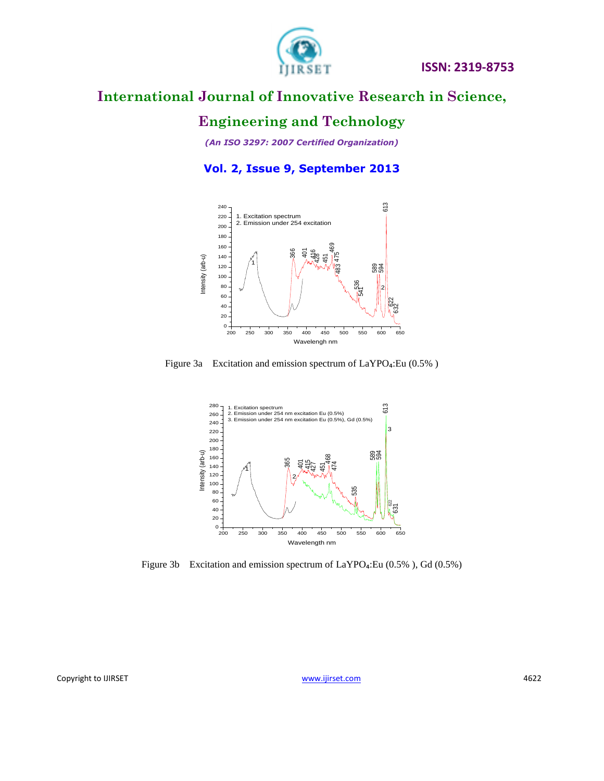

# **Engineering and Technology**

*(An ISO 3297: 2007 Certified Organization)*

**Vol. 2, Issue 9, September 2013**







Figure 3b Excitation and emission spectrum of  $LaYPO<sub>4</sub>:Eu (0.5%)$ , Gd (0.5%)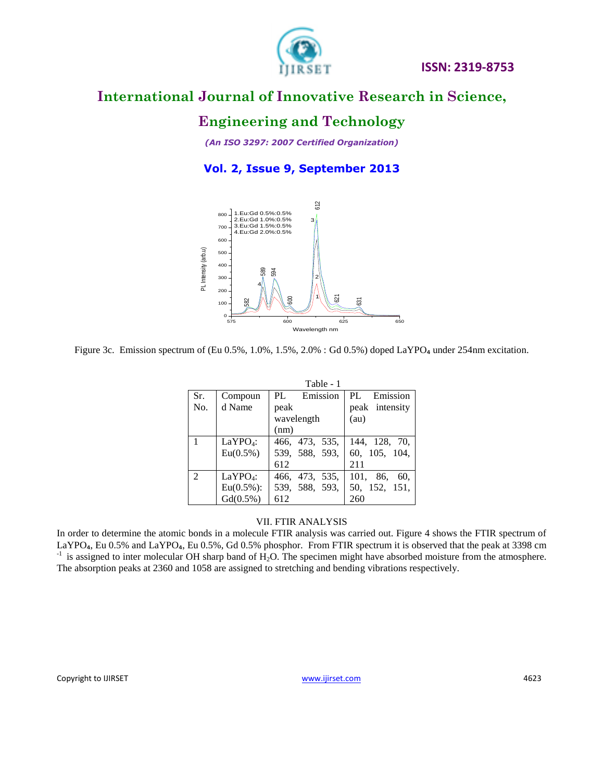

### **Engineering and Technology**

*(An ISO 3297: 2007 Certified Organization)*

**Vol. 2, Issue 9, September 2013**



Figure 3c. Emission spectrum of (Eu 0.5%, 1.0%, 1.5%, 2.0% : Gd 0.5%) doped LaYPO<sub>4</sub> under 254nm excitation.

|                |                      | Table - 1      |                 |
|----------------|----------------------|----------------|-----------------|
| Sr.            | Compoun              | PL Emission    | PL Emission     |
| No.            | d Name               | peak           | peak intensity  |
|                |                      | wavelength     | (au)            |
|                |                      | (nm)           |                 |
| $\overline{1}$ | LaYPO <sub>4</sub> : | 466, 473, 535, | 144, 128, 70,   |
|                | $Eu(0.5\%)$          | 539, 588, 593, | 60, 105, 104,   |
|                |                      | 612            | 211             |
| $\mathcal{L}$  | LaYPO <sub>4</sub> : | 466, 473, 535, | 101, 86,<br>60. |
|                | $Eu(0.5\%)$ :        | 539, 588, 593, | 50, 152, 151,   |
|                | Gd(0.5%)             | 612            | 260             |

#### VII. FTIR ANALYSIS

In order to determine the atomic bonds in a molecule FTIR analysis was carried out. Figure 4 shows the FTIR spectrum of LaYPO<sub>4</sub>, Eu 0.5% and LaYPO<sub>4</sub>, Eu 0.5%, Gd 0.5% phosphor. From FTIR spectrum it is observed that the peak at 3398 cm  $^{-1}$  is assigned to inter molecular OH sharp band of H<sub>2</sub>O. The specimen might have absorbed moisture from the atmosphere. The absorption peaks at 2360 and 1058 are assigned to stretching and bending vibrations respectively.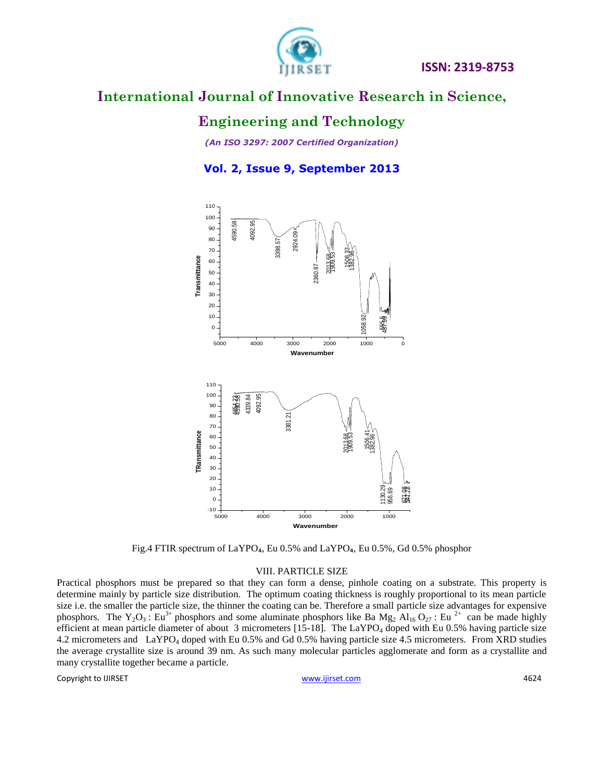

### **Engineering and Technology**

*(An ISO 3297: 2007 Certified Organization)*

**Vol. 2, Issue 9, September 2013**



Fig.4 FTIR spectrum of LaYPO<sub>4</sub>, Eu 0.5% and LaYPO<sub>4</sub>, Eu 0.5%, Gd 0.5% phosphor

#### VIII. PARTICLE SIZE

Practical phosphors must be prepared so that they can form a dense, pinhole coating on a substrate. This property is determine mainly by particle size distribution. The optimum coating thickness is roughly proportional to its mean particle size i.e. the smaller the particle size, the thinner the coating can be. Therefore a small particle size advantages for expensive phosphors. The Y<sub>2</sub>O<sub>3</sub>: Eu<sup>3+</sup> phosphors and some aluminate phosphors like Ba Mg<sub>2</sub> Al<sub>16</sub> O<sub>27</sub>: Eu<sup>2+</sup> can be made highly efficient at mean particle diameter of about 3 micrometers [15-18]. The  $LaYPO<sub>4</sub>$  doped with Eu 0.5% having particle size 4.2 micrometers and LaYPO<sup>4</sup> doped with Eu 0.5% and Gd 0.5% having particle size 4.5 micrometers. From XRD studies the average crystallite size is around 39 nm. As such many molecular particles agglomerate and form as a crystallite and many crystallite together became a particle.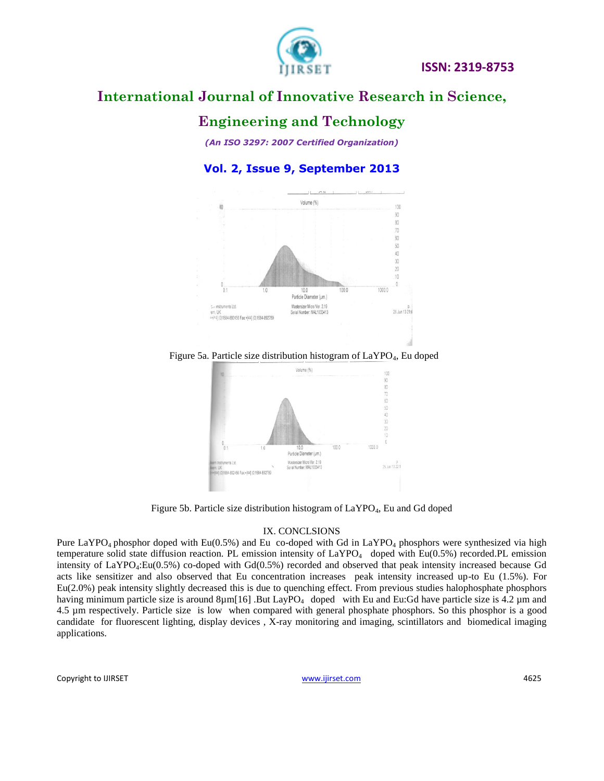

### **Engineering and Technology**

*(An ISO 3297: 2007 Certified Organization)*

**Vol. 2, Issue 9, September 2013**



Figure 5a. Particle size distribution histogram of LaYPO<sub>4</sub>, Eu doped



Figure 5b. Particle size distribution histogram of  $LaYPO<sub>4</sub>$ , Eu and Gd doped

#### IX. CONCLSIONS

Pure LaYPO<sub>4</sub> phosphor doped with Eu(0.5%) and Eu co-doped with Gd in LaYPO<sub>4</sub> phosphors were synthesized via high temperature solid state diffusion reaction. PL emission intensity of  $LaYPO<sub>4</sub>$  doped with Eu(0.5%) recorded.PL emission intensity of LaYPO4:Eu(0.5%) co-doped with Gd(0.5%) recorded and observed that peak intensity increased because Gd acts like sensitizer and also observed that Eu concentration increases peak intensity increased up-to Eu (1.5%). For Eu(2.0%) peak intensity slightly decreased this is due to quenching effect. From previous studies halophosphate phosphors having minimum particle size is around 8µm[16] .But LayPO<sub>4</sub> doped with Eu and Eu:Gd have particle size is 4.2 µm and 4.5 µm respectively. Particle size is low when compared with general phosphate phosphors. So this phosphor is a good candidate for fluorescent lighting, display devices , X-ray monitoring and imaging, scintillators and biomedical imaging applications.